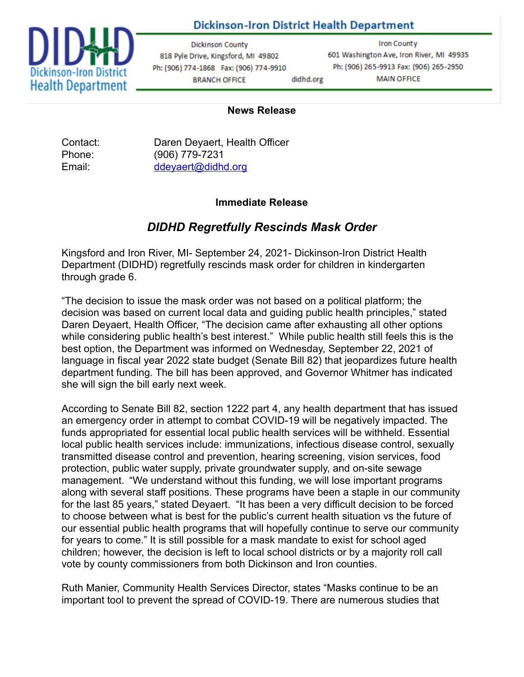## **Dickinson-Iron District Health Department**



**Dickinson County** 818 Pyle Drive, Kingsford, MI 49802 Ph: (906) 774-1868 Fax: (906) 774-9910 **BRANCH OFFICE** didhd.org

**Iron County** 601 Washington Ave, Iron River, MI 49935 Ph: (906) 265-9913 Fax: (906) 265-2950 **MAIN OFFICE** 

#### **News Release**

Contact: Daren Deyaert, Health Officer Phone: (906) 779-7231 Email: [ddeyaert@didhd.org](mailto:ddeyaert@didhd.org)

## **Immediate Release**

# *DIDHD Regretfully Rescinds Mask Order*

Kingsford and Iron River, MI- September 24, 2021- Dickinson-Iron District Health Department (DIDHD) regretfully rescinds mask order for children in kindergarten through grade 6.

"The decision to issue the mask order was not based on a political platform; the decision was based on current local data and guiding public health principles," stated Daren Deyaert, Health Officer, "The decision came after exhausting all other options while considering public health's best interest." While public health still feels this is the best option, the Department was informed on Wednesday, September 22, 2021 of language in fiscal year 2022 state budget (Senate Bill 82) that jeopardizes future health department funding. The bill has been approved, and Governor Whitmer has indicated she will sign the bill early next week.

According to Senate Bill 82, section 1222 part 4, any health department that has issued an emergency order in attempt to combat COVID-19 will be negatively impacted. The funds appropriated for essential local public health services will be withheld. Essential local public health services include: immunizations, infectious disease control, sexually transmitted disease control and prevention, hearing screening, vision services, food protection, public water supply, private groundwater supply, and on-site sewage management. "We understand without this funding, we will lose important programs along with several staff positions. These programs have been a staple in our community for the last 85 years," stated Deyaert. "It has been a very difficult decision to be forced to choose between what is best for the public's current health situation vs the future of our essential public health programs that will hopefully continue to serve our community for years to come." It is still possible for a mask mandate to exist for school aged children; however, the decision is left to local school districts or by a majority roll call vote by county commissioners from both Dickinson and Iron counties.

Ruth Manier, Community Health Services Director, states "Masks continue to be an important tool to prevent the spread of COVID-19. There are numerous studies that